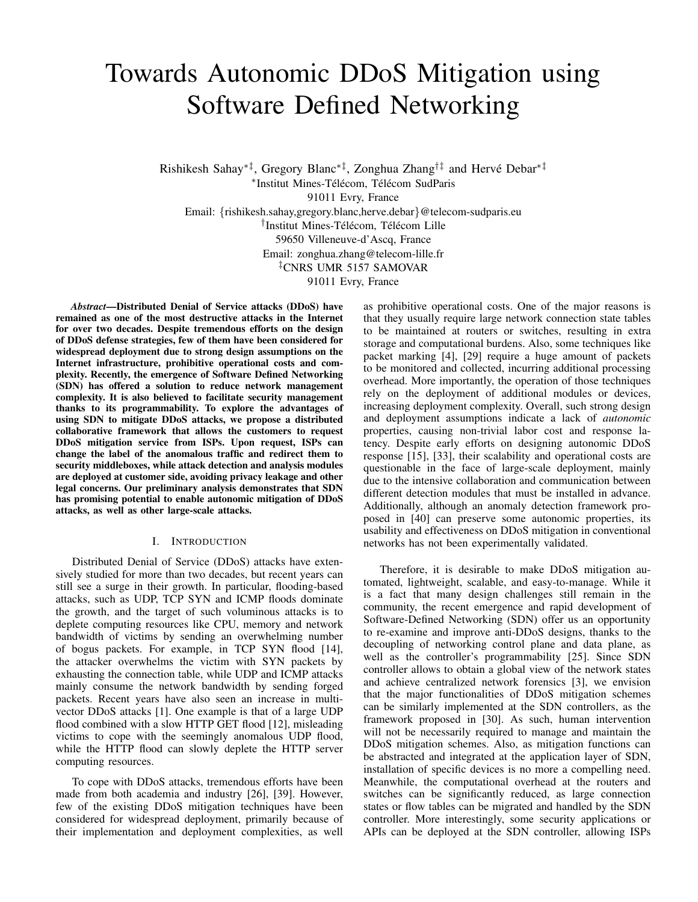# Towards Autonomic DDoS Mitigation using Software Defined Networking

Rishikesh Sahay\*‡, Gregory Blanc\*‡, Zonghua Zhang<sup>†‡</sup> and Hervé Debar\*<sup>‡</sup> \*Institut Mines-Télécom, Télécom SudParis 91011 Evry, France Email: {rishikesh.sahay,gregory.blanc,herve.debar}@telecom-sudparis.eu <sup>†</sup>Institut Mines-Télécom, Télécom Lille 59650 Villeneuve-d'Ascq, France Email: zonghua.zhang@telecom-lille.fr ‡CNRS UMR 5157 SAMOVAR 91011 Evry, France

*Abstract*—Distributed Denial of Service attacks (DDoS) have remained as one of the most destructive attacks in the Internet for over two decades. Despite tremendous efforts on the design of DDoS defense strategies, few of them have been considered for widespread deployment due to strong design assumptions on the Internet infrastructure, prohibitive operational costs and complexity. Recently, the emergence of Software Defined Networking (SDN) has offered a solution to reduce network management complexity. It is also believed to facilitate security management thanks to its programmability. To explore the advantages of using SDN to mitigate DDoS attacks, we propose a distributed collaborative framework that allows the customers to request DDoS mitigation service from ISPs. Upon request, ISPs can change the label of the anomalous traffic and redirect them to security middleboxes, while attack detection and analysis modules are deployed at customer side, avoiding privacy leakage and other legal concerns. Our preliminary analysis demonstrates that SDN has promising potential to enable autonomic mitigation of DDoS attacks, as well as other large-scale attacks.

### I. INTRODUCTION

Distributed Denial of Service (DDoS) attacks have extensively studied for more than two decades, but recent years can still see a surge in their growth. In particular, flooding-based attacks, such as UDP, TCP SYN and ICMP floods dominate the growth, and the target of such voluminous attacks is to deplete computing resources like CPU, memory and network bandwidth of victims by sending an overwhelming number of bogus packets. For example, in TCP SYN flood [14], the attacker overwhelms the victim with SYN packets by exhausting the connection table, while UDP and ICMP attacks mainly consume the network bandwidth by sending forged packets. Recent years have also seen an increase in multivector DDoS attacks [1]. One example is that of a large UDP flood combined with a slow HTTP GET flood [12], misleading victims to cope with the seemingly anomalous UDP flood, while the HTTP flood can slowly deplete the HTTP server computing resources.

To cope with DDoS attacks, tremendous efforts have been made from both academia and industry [26], [39]. However, few of the existing DDoS mitigation techniques have been considered for widespread deployment, primarily because of their implementation and deployment complexities, as well as prohibitive operational costs. One of the major reasons is that they usually require large network connection state tables to be maintained at routers or switches, resulting in extra storage and computational burdens. Also, some techniques like packet marking [4], [29] require a huge amount of packets to be monitored and collected, incurring additional processing overhead. More importantly, the operation of those techniques rely on the deployment of additional modules or devices, increasing deployment complexity. Overall, such strong design and deployment assumptions indicate a lack of *autonomic* properties, causing non-trivial labor cost and response latency. Despite early efforts on designing autonomic DDoS response [15], [33], their scalability and operational costs are questionable in the face of large-scale deployment, mainly due to the intensive collaboration and communication between different detection modules that must be installed in advance. Additionally, although an anomaly detection framework proposed in [40] can preserve some autonomic properties, its usability and effectiveness on DDoS mitigation in conventional networks has not been experimentally validated.

Therefore, it is desirable to make DDoS mitigation automated, lightweight, scalable, and easy-to-manage. While it is a fact that many design challenges still remain in the community, the recent emergence and rapid development of Software-Defined Networking (SDN) offer us an opportunity to re-examine and improve anti-DDoS designs, thanks to the decoupling of networking control plane and data plane, as well as the controller's programmability [25]. Since SDN controller allows to obtain a global view of the network states and achieve centralized network forensics [3], we envision that the major functionalities of DDoS mitigation schemes can be similarly implemented at the SDN controllers, as the framework proposed in [30]. As such, human intervention will not be necessarily required to manage and maintain the DDoS mitigation schemes. Also, as mitigation functions can be abstracted and integrated at the application layer of SDN, installation of specific devices is no more a compelling need. Meanwhile, the computational overhead at the routers and switches can be significantly reduced, as large connection states or flow tables can be migrated and handled by the SDN controller. More interestingly, some security applications or APIs can be deployed at the SDN controller, allowing ISPs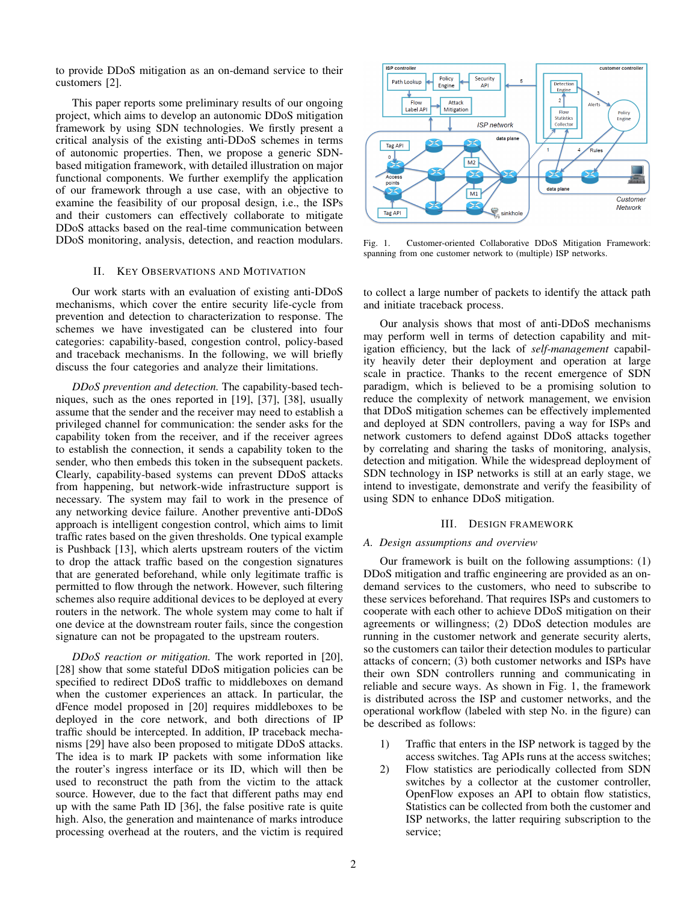to provide DDoS mitigation as an on-demand service to their customers [2].

This paper reports some preliminary results of our ongoing project, which aims to develop an autonomic DDoS mitigation framework by using SDN technologies. We firstly present a critical analysis of the existing anti-DDoS schemes in terms of autonomic properties. Then, we propose a generic SDNbased mitigation framework, with detailed illustration on major functional components. We further exemplify the application of our framework through a use case, with an objective to examine the feasibility of our proposal design, i.e., the ISPs and their customers can effectively collaborate to mitigate DDoS attacks based on the real-time communication between DDoS monitoring, analysis, detection, and reaction modulars.

# II. KEY OBSERVATIONS AND MOTIVATION

Our work starts with an evaluation of existing anti-DDoS mechanisms, which cover the entire security life-cycle from prevention and detection to characterization to response. The schemes we have investigated can be clustered into four categories: capability-based, congestion control, policy-based and traceback mechanisms. In the following, we will briefly discuss the four categories and analyze their limitations.

*DDoS prevention and detection.* The capability-based techniques, such as the ones reported in [19], [37], [38], usually assume that the sender and the receiver may need to establish a privileged channel for communication: the sender asks for the capability token from the receiver, and if the receiver agrees to establish the connection, it sends a capability token to the sender, who then embeds this token in the subsequent packets. Clearly, capability-based systems can prevent DDoS attacks from happening, but network-wide infrastructure support is necessary. The system may fail to work in the presence of any networking device failure. Another preventive anti-DDoS approach is intelligent congestion control, which aims to limit traffic rates based on the given thresholds. One typical example is Pushback [13], which alerts upstream routers of the victim to drop the attack traffic based on the congestion signatures that are generated beforehand, while only legitimate traffic is permitted to flow through the network. However, such filtering schemes also require additional devices to be deployed at every routers in the network. The whole system may come to halt if one device at the downstream router fails, since the congestion signature can not be propagated to the upstream routers.

*DDoS reaction or mitigation.* The work reported in [20], [28] show that some stateful DDoS mitigation policies can be specified to redirect DDoS traffic to middleboxes on demand when the customer experiences an attack. In particular, the dFence model proposed in [20] requires middleboxes to be deployed in the core network, and both directions of IP traffic should be intercepted. In addition, IP traceback mechanisms [29] have also been proposed to mitigate DDoS attacks. The idea is to mark IP packets with some information like the router's ingress interface or its ID, which will then be used to reconstruct the path from the victim to the attack source. However, due to the fact that different paths may end up with the same Path ID [36], the false positive rate is quite high. Also, the generation and maintenance of marks introduce processing overhead at the routers, and the victim is required



Fig. 1. Customer-oriented Collaborative DDoS Mitigation Framework: spanning from one customer network to (multiple) ISP networks.

to collect a large number of packets to identify the attack path and initiate traceback process.

Our analysis shows that most of anti-DDoS mechanisms may perform well in terms of detection capability and mitigation efficiency, but the lack of *self-management* capability heavily deter their deployment and operation at large scale in practice. Thanks to the recent emergence of SDN paradigm, which is believed to be a promising solution to reduce the complexity of network management, we envision that DDoS mitigation schemes can be effectively implemented and deployed at SDN controllers, paving a way for ISPs and network customers to defend against DDoS attacks together by correlating and sharing the tasks of monitoring, analysis, detection and mitigation. While the widespread deployment of SDN technology in ISP networks is still at an early stage, we intend to investigate, demonstrate and verify the feasibility of using SDN to enhance DDoS mitigation.

### III. DESIGN FRAMEWORK

#### *A. Design assumptions and overview*

Our framework is built on the following assumptions: (1) DDoS mitigation and traffic engineering are provided as an ondemand services to the customers, who need to subscribe to these services beforehand. That requires ISPs and customers to cooperate with each other to achieve DDoS mitigation on their agreements or willingness; (2) DDoS detection modules are running in the customer network and generate security alerts, so the customers can tailor their detection modules to particular attacks of concern; (3) both customer networks and ISPs have their own SDN controllers running and communicating in reliable and secure ways. As shown in Fig. 1, the framework is distributed across the ISP and customer networks, and the operational workflow (labeled with step No. in the figure) can be described as follows:

- 1) Traffic that enters in the ISP network is tagged by the access switches. Tag APIs runs at the access switches;
- 2) Flow statistics are periodically collected from SDN switches by a collector at the customer controller, OpenFlow exposes an API to obtain flow statistics, Statistics can be collected from both the customer and ISP networks, the latter requiring subscription to the service;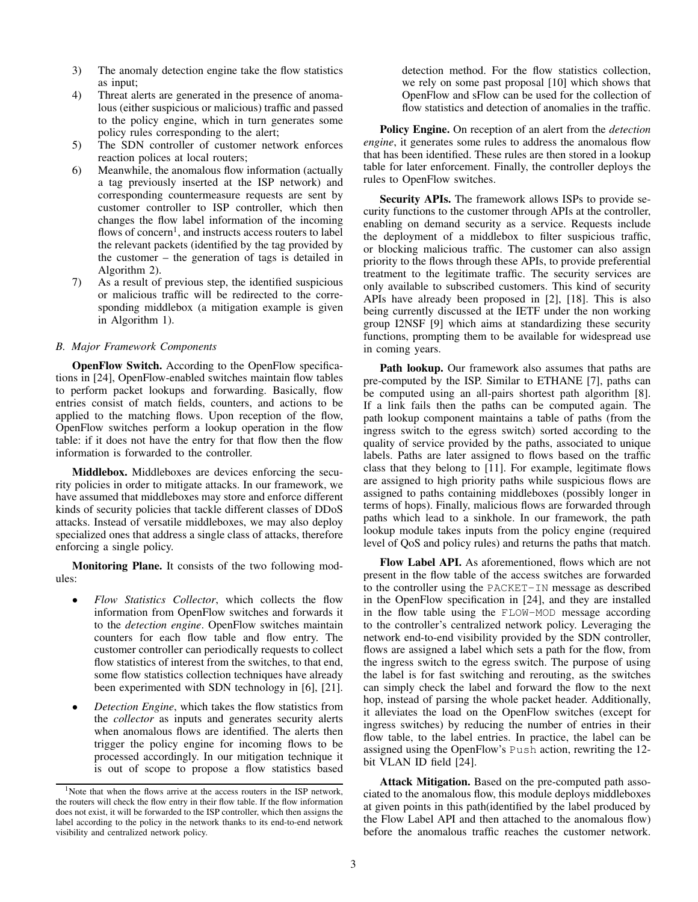- 3) The anomaly detection engine take the flow statistics as input;
- 4) Threat alerts are generated in the presence of anomalous (either suspicious or malicious) traffic and passed to the policy engine, which in turn generates some policy rules corresponding to the alert;
- 5) The SDN controller of customer network enforces reaction polices at local routers;
- 6) Meanwhile, the anomalous flow information (actually a tag previously inserted at the ISP network) and corresponding countermeasure requests are sent by customer controller to ISP controller, which then changes the flow label information of the incoming flows of concern<sup>1</sup>, and instructs access routers to label the relevant packets (identified by the tag provided by the customer – the generation of tags is detailed in Algorithm 2).
- 7) As a result of previous step, the identified suspicious or malicious traffic will be redirected to the corresponding middlebox (a mitigation example is given in Algorithm 1).

# *B. Major Framework Components*

OpenFlow Switch. According to the OpenFlow specifications in [24], OpenFlow-enabled switches maintain flow tables to perform packet lookups and forwarding. Basically, flow entries consist of match fields, counters, and actions to be applied to the matching flows. Upon reception of the flow, OpenFlow switches perform a lookup operation in the flow table: if it does not have the entry for that flow then the flow information is forwarded to the controller.

Middlebox. Middleboxes are devices enforcing the security policies in order to mitigate attacks. In our framework, we have assumed that middleboxes may store and enforce different kinds of security policies that tackle different classes of DDoS attacks. Instead of versatile middleboxes, we may also deploy specialized ones that address a single class of attacks, therefore enforcing a single policy.

Monitoring Plane. It consists of the two following modules:

- *Flow Statistics Collector*, which collects the flow information from OpenFlow switches and forwards it to the *detection engine*. OpenFlow switches maintain counters for each flow table and flow entry. The customer controller can periodically requests to collect flow statistics of interest from the switches, to that end, some flow statistics collection techniques have already been experimented with SDN technology in [6], [21].
- *Detection Engine*, which takes the flow statistics from the *collector* as inputs and generates security alerts when anomalous flows are identified. The alerts then trigger the policy engine for incoming flows to be processed accordingly. In our mitigation technique it is out of scope to propose a flow statistics based

detection method. For the flow statistics collection, we rely on some past proposal [10] which shows that OpenFlow and sFlow can be used for the collection of flow statistics and detection of anomalies in the traffic.

Policy Engine. On reception of an alert from the *detection engine*, it generates some rules to address the anomalous flow that has been identified. These rules are then stored in a lookup table for later enforcement. Finally, the controller deploys the rules to OpenFlow switches.

Security APIs. The framework allows ISPs to provide security functions to the customer through APIs at the controller, enabling on demand security as a service. Requests include the deployment of a middlebox to filter suspicious traffic, or blocking malicious traffic. The customer can also assign priority to the flows through these APIs, to provide preferential treatment to the legitimate traffic. The security services are only available to subscribed customers. This kind of security APIs have already been proposed in [2], [18]. This is also being currently discussed at the IETF under the non working group I2NSF [9] which aims at standardizing these security functions, prompting them to be available for widespread use in coming years.

Path lookup. Our framework also assumes that paths are pre-computed by the ISP. Similar to ETHANE [7], paths can be computed using an all-pairs shortest path algorithm [8]. If a link fails then the paths can be computed again. The path lookup component maintains a table of paths (from the ingress switch to the egress switch) sorted according to the quality of service provided by the paths, associated to unique labels. Paths are later assigned to flows based on the traffic class that they belong to [11]. For example, legitimate flows are assigned to high priority paths while suspicious flows are assigned to paths containing middleboxes (possibly longer in terms of hops). Finally, malicious flows are forwarded through paths which lead to a sinkhole. In our framework, the path lookup module takes inputs from the policy engine (required level of QoS and policy rules) and returns the paths that match.

Flow Label API. As aforementioned, flows which are not present in the flow table of the access switches are forwarded to the controller using the PACKET-IN message as described in the OpenFlow specification in [24], and they are installed in the flow table using the FLOW-MOD message according to the controller's centralized network policy. Leveraging the network end-to-end visibility provided by the SDN controller, flows are assigned a label which sets a path for the flow, from the ingress switch to the egress switch. The purpose of using the label is for fast switching and rerouting, as the switches can simply check the label and forward the flow to the next hop, instead of parsing the whole packet header. Additionally, it alleviates the load on the OpenFlow switches (except for ingress switches) by reducing the number of entries in their flow table, to the label entries. In practice, the label can be assigned using the OpenFlow's Push action, rewriting the 12 bit VLAN ID field [24].

Attack Mitigation. Based on the pre-computed path associated to the anomalous flow, this module deploys middleboxes at given points in this path(identified by the label produced by the Flow Label API and then attached to the anomalous flow) before the anomalous traffic reaches the customer network.

<sup>&</sup>lt;sup>1</sup>Note that when the flows arrive at the access routers in the ISP network, the routers will check the flow entry in their flow table. If the flow information does not exist, it will be forwarded to the ISP controller, which then assigns the label according to the policy in the network thanks to its end-to-end network visibility and centralized network policy.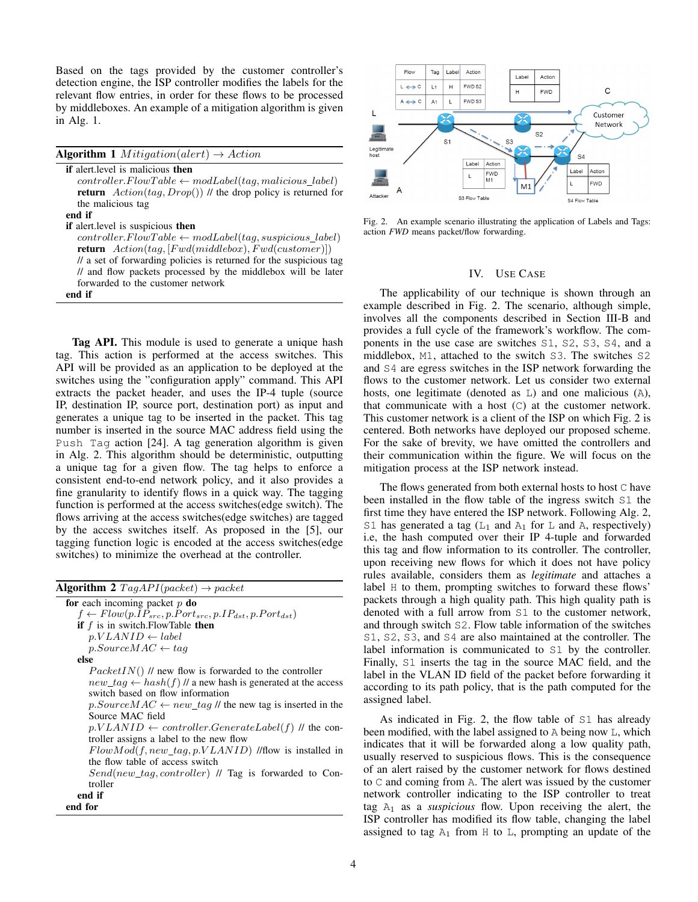Based on the tags provided by the customer controller's detection engine, the ISP controller modifies the labels for the relevant flow entries, in order for these flows to be processed by middleboxes. An example of a mitigation algorithm is given in Alg. 1.

**Algorithm 1** *Mitigation*(*alert*)  $\rightarrow$  *Action* 

if alert.level is malicious then  $controller. FlowTable \leftarrow modLabel(tag, malicious\_label)$ **return**  $Action(tag, Drop())$  // the drop policy is returned for the malicious tag

#### end if

if alert.level is suspicious then

 $controller. FlowTable \leftarrow modLabel(taq, suspicious \ label)$ return  $Action(tag, [Fwd(middlebox), Fwd(customer)])$ 

// a set of forwarding policies is returned for the suspicious tag // and flow packets processed by the middlebox will be later forwarded to the customer network

end if

Tag API. This module is used to generate a unique hash tag. This action is performed at the access switches. This API will be provided as an application to be deployed at the switches using the "configuration apply" command. This API extracts the packet header, and uses the IP-4 tuple (source IP, destination IP, source port, destination port) as input and generates a unique tag to be inserted in the packet. This tag number is inserted in the source MAC address field using the Push Tag action [24]. A tag generation algorithm is given in Alg. 2. This algorithm should be deterministic, outputting a unique tag for a given flow. The tag helps to enforce a consistent end-to-end network policy, and it also provides a fine granularity to identify flows in a quick way. The tagging function is performed at the access switches(edge switch). The flows arriving at the access switches(edge switches) are tagged by the access switches itself. As proposed in the [5], our tagging function logic is encoded at the access switches(edge switches) to minimize the overhead at the controller.

| <b>Algorithm 2</b> $TagAPI(packet) \rightarrow packet$                  |
|-------------------------------------------------------------------------|
| for each incoming packet $p$ do                                         |
| $f \leftarrow Flow(p.ID_{src}, p.Port_{src}, p.ID_{dst}, p.Port_{dst})$ |
| <b>if</b> $f$ is in switch. Flow Table <b>then</b>                      |
| $p.VLAND \leftarrow label$                                              |
| $p.SourceMAC \leftarrow taq$                                            |
| else                                                                    |
| $PacketIN()$ // new flow is forwarded to the controller                 |
| new $taq \leftarrow hash(f)$ // a new hash is generated at the access   |
| switch based on flow information                                        |
| $p.SourceMAC \leftarrow new tag$ the new tag is inserted in the         |
| Source MAC field                                                        |
| $p.VLAND \leftarrow controller.GenerateLabel(f)$ // the con-            |
| troller assigns a label to the new flow                                 |
| $FlowMod(f, new\_tag, p.VLAND)$ //flow is installed in                  |
| the flow table of access switch                                         |
| Send(new_tag, controller) // Tag is forwarded to Con-                   |
| troller                                                                 |
| end if                                                                  |
| end for                                                                 |
|                                                                         |



Fig. 2. An example scenario illustrating the application of Labels and Tags: action *FWD* means packet/flow forwarding.

# IV. USE CASE

The applicability of our technique is shown through an example described in Fig. 2. The scenario, although simple, involves all the components described in Section III-B and provides a full cycle of the framework's workflow. The components in the use case are switches S1, S2, S3, S4, and a middlebox, M1, attached to the switch S3. The switches S2 and S4 are egress switches in the ISP network forwarding the flows to the customer network. Let us consider two external hosts, one legitimate (denoted as L) and one malicious (A), that communicate with a host (C) at the customer network. This customer network is a client of the ISP on which Fig. 2 is centered. Both networks have deployed our proposed scheme. For the sake of brevity, we have omitted the controllers and their communication within the figure. We will focus on the mitigation process at the ISP network instead.

The flows generated from both external hosts to host C have been installed in the flow table of the ingress switch S1 the first time they have entered the ISP network. Following Alg. 2, S1 has generated a tag ( $L_1$  and  $A_1$  for L and A, respectively) i.e, the hash computed over their IP 4-tuple and forwarded this tag and flow information to its controller. The controller, upon receiving new flows for which it does not have policy rules available, considers them as *legitimate* and attaches a label H to them, prompting switches to forward these flows' packets through a high quality path. This high quality path is denoted with a full arrow from S1 to the customer network, and through switch S2. Flow table information of the switches S1, S2, S3, and S4 are also maintained at the controller. The label information is communicated to S1 by the controller. Finally, S1 inserts the tag in the source MAC field, and the label in the VLAN ID field of the packet before forwarding it according to its path policy, that is the path computed for the assigned label.

As indicated in Fig. 2, the flow table of S1 has already been modified, with the label assigned to A being now L, which indicates that it will be forwarded along a low quality path, usually reserved to suspicious flows. This is the consequence of an alert raised by the customer network for flows destined to C and coming from A. The alert was issued by the customer network controller indicating to the ISP controller to treat tag A<sup>1</sup> as a *suspicious* flow. Upon receiving the alert, the ISP controller has modified its flow table, changing the label assigned to tag  $A_1$  from H to L, prompting an update of the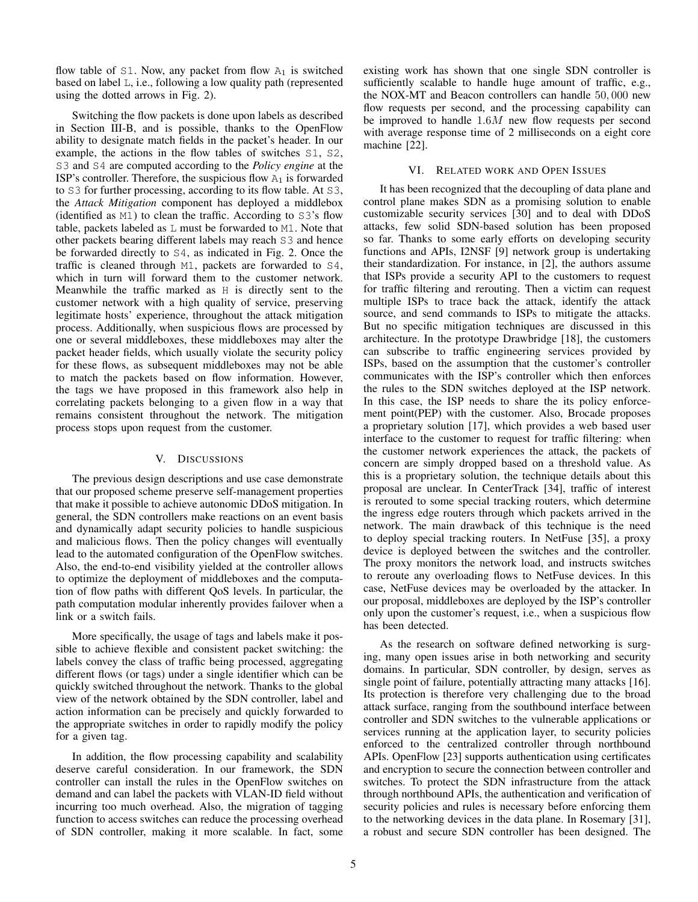flow table of  $S1$ . Now, any packet from flow  $A_1$  is switched based on label L, i.e., following a low quality path (represented using the dotted arrows in Fig. 2).

Switching the flow packets is done upon labels as described in Section III-B, and is possible, thanks to the OpenFlow ability to designate match fields in the packet's header. In our example, the actions in the flow tables of switches S1, S2, S3 and S4 are computed according to the *Policy engine* at the ISP's controller. Therefore, the suspicious flow  $A_1$  is forwarded to S3 for further processing, according to its flow table. At S3, the *Attack Mitigation* component has deployed a middlebox (identified as M1) to clean the traffic. According to S3's flow table, packets labeled as L must be forwarded to M1. Note that other packets bearing different labels may reach S3 and hence be forwarded directly to S4, as indicated in Fig. 2. Once the traffic is cleaned through M1, packets are forwarded to S4, which in turn will forward them to the customer network. Meanwhile the traffic marked as H is directly sent to the customer network with a high quality of service, preserving legitimate hosts' experience, throughout the attack mitigation process. Additionally, when suspicious flows are processed by one or several middleboxes, these middleboxes may alter the packet header fields, which usually violate the security policy for these flows, as subsequent middleboxes may not be able to match the packets based on flow information. However, the tags we have proposed in this framework also help in correlating packets belonging to a given flow in a way that remains consistent throughout the network. The mitigation process stops upon request from the customer.

# V. DISCUSSIONS

The previous design descriptions and use case demonstrate that our proposed scheme preserve self-management properties that make it possible to achieve autonomic DDoS mitigation. In general, the SDN controllers make reactions on an event basis and dynamically adapt security policies to handle suspicious and malicious flows. Then the policy changes will eventually lead to the automated configuration of the OpenFlow switches. Also, the end-to-end visibility yielded at the controller allows to optimize the deployment of middleboxes and the computation of flow paths with different QoS levels. In particular, the path computation modular inherently provides failover when a link or a switch fails.

More specifically, the usage of tags and labels make it possible to achieve flexible and consistent packet switching: the labels convey the class of traffic being processed, aggregating different flows (or tags) under a single identifier which can be quickly switched throughout the network. Thanks to the global view of the network obtained by the SDN controller, label and action information can be precisely and quickly forwarded to the appropriate switches in order to rapidly modify the policy for a given tag.

In addition, the flow processing capability and scalability deserve careful consideration. In our framework, the SDN controller can install the rules in the OpenFlow switches on demand and can label the packets with VLAN-ID field without incurring too much overhead. Also, the migration of tagging function to access switches can reduce the processing overhead of SDN controller, making it more scalable. In fact, some existing work has shown that one single SDN controller is sufficiently scalable to handle huge amount of traffic, e.g., the NOX-MT and Beacon controllers can handle 50, 000 new flow requests per second, and the processing capability can be improved to handle 1.6M new flow requests per second with average response time of 2 milliseconds on a eight core machine [22].

# VI. RELATED WORK AND OPEN ISSUES

It has been recognized that the decoupling of data plane and control plane makes SDN as a promising solution to enable customizable security services [30] and to deal with DDoS attacks, few solid SDN-based solution has been proposed so far. Thanks to some early efforts on developing security functions and APIs, I2NSF [9] network group is undertaking their standardization. For instance, in [2], the authors assume that ISPs provide a security API to the customers to request for traffic filtering and rerouting. Then a victim can request multiple ISPs to trace back the attack, identify the attack source, and send commands to ISPs to mitigate the attacks. But no specific mitigation techniques are discussed in this architecture. In the prototype Drawbridge [18], the customers can subscribe to traffic engineering services provided by ISPs, based on the assumption that the customer's controller communicates with the ISP's controller which then enforces the rules to the SDN switches deployed at the ISP network. In this case, the ISP needs to share the its policy enforcement point(PEP) with the customer. Also, Brocade proposes a proprietary solution [17], which provides a web based user interface to the customer to request for traffic filtering: when the customer network experiences the attack, the packets of concern are simply dropped based on a threshold value. As this is a proprietary solution, the technique details about this proposal are unclear. In CenterTrack [34], traffic of interest is rerouted to some special tracking routers, which determine the ingress edge routers through which packets arrived in the network. The main drawback of this technique is the need to deploy special tracking routers. In NetFuse [35], a proxy device is deployed between the switches and the controller. The proxy monitors the network load, and instructs switches to reroute any overloading flows to NetFuse devices. In this case, NetFuse devices may be overloaded by the attacker. In our proposal, middleboxes are deployed by the ISP's controller only upon the customer's request, i.e., when a suspicious flow has been detected.

As the research on software defined networking is surging, many open issues arise in both networking and security domains. In particular, SDN controller, by design, serves as single point of failure, potentially attracting many attacks [16]. Its protection is therefore very challenging due to the broad attack surface, ranging from the southbound interface between controller and SDN switches to the vulnerable applications or services running at the application layer, to security policies enforced to the centralized controller through northbound APIs. OpenFlow [23] supports authentication using certificates and encryption to secure the connection between controller and switches. To protect the SDN infrastructure from the attack through northbound APIs, the authentication and verification of security policies and rules is necessary before enforcing them to the networking devices in the data plane. In Rosemary [31], a robust and secure SDN controller has been designed. The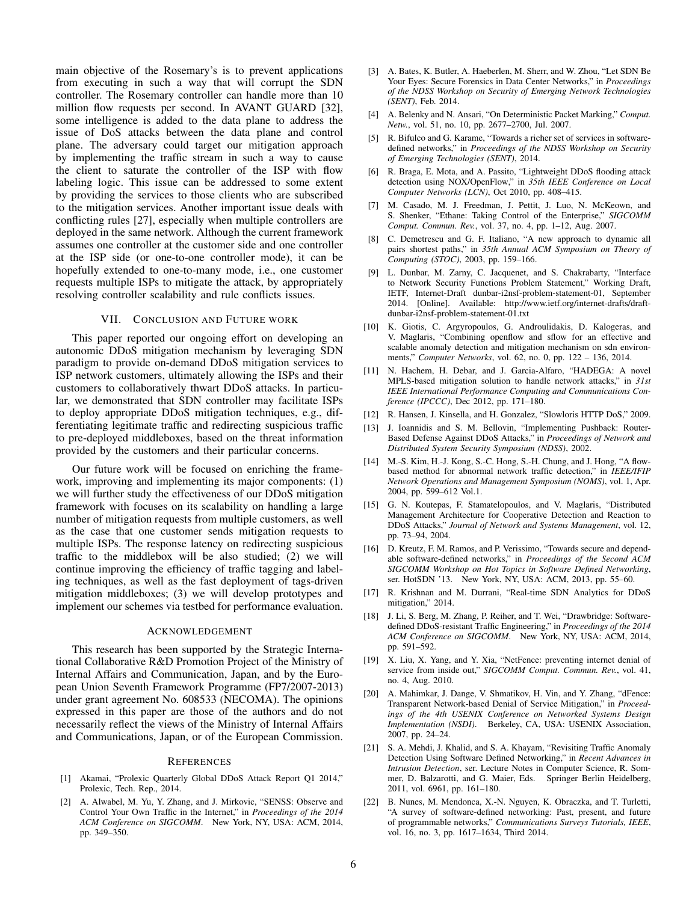main objective of the Rosemary's is to prevent applications from executing in such a way that will corrupt the SDN controller. The Rosemary controller can handle more than 10 million flow requests per second. In AVANT GUARD [32], some intelligence is added to the data plane to address the issue of DoS attacks between the data plane and control plane. The adversary could target our mitigation approach by implementing the traffic stream in such a way to cause the client to saturate the controller of the ISP with flow labeling logic. This issue can be addressed to some extent by providing the services to those clients who are subscribed to the mitigation services. Another important issue deals with conflicting rules [27], especially when multiple controllers are deployed in the same network. Although the current framework assumes one controller at the customer side and one controller at the ISP side (or one-to-one controller mode), it can be hopefully extended to one-to-many mode, i.e., one customer requests multiple ISPs to mitigate the attack, by appropriately resolving controller scalability and rule conflicts issues.

#### VII. CONCLUSION AND FUTURE WORK

This paper reported our ongoing effort on developing an autonomic DDoS mitigation mechanism by leveraging SDN paradigm to provide on-demand DDoS mitigation services to ISP network customers, ultimately allowing the ISPs and their customers to collaboratively thwart DDoS attacks. In particular, we demonstrated that SDN controller may facilitate ISPs to deploy appropriate DDoS mitigation techniques, e.g., differentiating legitimate traffic and redirecting suspicious traffic to pre-deployed middleboxes, based on the threat information provided by the customers and their particular concerns.

Our future work will be focused on enriching the framework, improving and implementing its major components: (1) we will further study the effectiveness of our DDoS mitigation framework with focuses on its scalability on handling a large number of mitigation requests from multiple customers, as well as the case that one customer sends mitigation requests to multiple ISPs. The response latency on redirecting suspicious traffic to the middlebox will be also studied; (2) we will continue improving the efficiency of traffic tagging and labeling techniques, as well as the fast deployment of tags-driven mitigation middleboxes; (3) we will develop prototypes and implement our schemes via testbed for performance evaluation.

#### ACKNOWLEDGEMENT

This research has been supported by the Strategic International Collaborative R&D Promotion Project of the Ministry of Internal Affairs and Communication, Japan, and by the European Union Seventh Framework Programme (FP7/2007-2013) under grant agreement No. 608533 (NECOMA). The opinions expressed in this paper are those of the authors and do not necessarily reflect the views of the Ministry of Internal Affairs and Communications, Japan, or of the European Commission.

#### **REFERENCES**

- [1] Akamai, "Prolexic Quarterly Global DDoS Attack Report Q1 2014," Prolexic, Tech. Rep., 2014.
- [2] A. Alwabel, M. Yu, Y. Zhang, and J. Mirkovic, "SENSS: Observe and Control Your Own Traffic in the Internet," in *Proceedings of the 2014 ACM Conference on SIGCOMM*. New York, NY, USA: ACM, 2014, pp. 349–350.
- [3] A. Bates, K. Butler, A. Haeberlen, M. Sherr, and W. Zhou, "Let SDN Be Your Eyes: Secure Forensics in Data Center Networks," in *Proceedings of the NDSS Workshop on Security of Emerging Network Technologies (SENT)*, Feb. 2014.
- [4] A. Belenky and N. Ansari, "On Deterministic Packet Marking," *Comput. Netw.*, vol. 51, no. 10, pp. 2677–2700, Jul. 2007.
- [5] R. Bifulco and G. Karame, "Towards a richer set of services in softwaredefined networks," in *Proceedings of the NDSS Workshop on Security of Emerging Technologies (SENT)*, 2014.
- [6] R. Braga, E. Mota, and A. Passito, "Lightweight DDoS flooding attack detection using NOX/OpenFlow," in *35th IEEE Conference on Local Computer Networks (LCN)*, Oct 2010, pp. 408–415.
- [7] M. Casado, M. J. Freedman, J. Pettit, J. Luo, N. McKeown, and S. Shenker, "Ethane: Taking Control of the Enterprise," *SIGCOMM Comput. Commun. Rev.*, vol. 37, no. 4, pp. 1–12, Aug. 2007.
- [8] C. Demetrescu and G. F. Italiano, "A new approach to dynamic all pairs shortest paths," in *35th Annual ACM Symposium on Theory of Computing (STOC)*, 2003, pp. 159–166.
- [9] L. Dunbar, M. Zarny, C. Jacquenet, and S. Chakrabarty, "Interface to Network Security Functions Problem Statement," Working Draft, IETF, Internet-Draft dunbar-i2nsf-problem-statement-01, September 2014. [Online]. Available: http://www.ietf.org/internet-drafts/draftdunbar-i2nsf-problem-statement-01.txt
- [10] K. Giotis, C. Argyropoulos, G. Androulidakis, D. Kalogeras, and V. Maglaris, "Combining openflow and sflow for an effective and scalable anomaly detection and mitigation mechanism on sdn environments," *Computer Networks*, vol. 62, no. 0, pp. 122 – 136, 2014.
- [11] N. Hachem, H. Debar, and J. Garcia-Alfaro, "HADEGA: A novel MPLS-based mitigation solution to handle network attacks," in *31st IEEE International Performance Computing and Communications Conference (IPCCC)*, Dec 2012, pp. 171–180.
- [12] R. Hansen, J. Kinsella, and H. Gonzalez, "Slowloris HTTP DoS," 2009.
- [13] J. Ioannidis and S. M. Bellovin, "Implementing Pushback: Router-Based Defense Against DDoS Attacks," in *Proceedings of Network and Distributed System Security Symposium (NDSS)*, 2002.
- [14] M.-S. Kim, H.-J. Kong, S.-C. Hong, S.-H. Chung, and J. Hong, "A flowbased method for abnormal network traffic detection," in *IEEE/IFIP Network Operations and Management Symposium (NOMS)*, vol. 1, Apr. 2004, pp. 599–612 Vol.1.
- [15] G. N. Koutepas, F. Stamatelopoulos, and V. Maglaris, "Distributed Management Architecture for Cooperative Detection and Reaction to DDoS Attacks," *Journal of Network and Systems Management*, vol. 12, pp. 73–94, 2004.
- [16] D. Kreutz, F. M. Ramos, and P. Verissimo, "Towards secure and dependable software-defined networks," in *Proceedings of the Second ACM SIGCOMM Workshop on Hot Topics in Software Defined Networking*, ser. HotSDN '13. New York, NY, USA: ACM, 2013, pp. 55–60.
- [17] R. Krishnan and M. Durrani, "Real-time SDN Analytics for DDoS mitigation," 2014.
- [18] J. Li, S. Berg, M. Zhang, P. Reiher, and T. Wei, "Drawbridge: Softwaredefined DDoS-resistant Traffic Engineering," in *Proceedings of the 2014 ACM Conference on SIGCOMM*. New York, NY, USA: ACM, 2014, pp. 591–592.
- [19] X. Liu, X. Yang, and Y. Xia, "NetFence: preventing internet denial of service from inside out," *SIGCOMM Comput. Commun. Rev.*, vol. 41, no. 4, Aug. 2010.
- [20] A. Mahimkar, J. Dange, V. Shmatikov, H. Vin, and Y. Zhang, "dFence: Transparent Network-based Denial of Service Mitigation," in *Proceedings of the 4th USENIX Conference on Networked Systems Design Implementation (NSDI)*. Berkeley, CA, USA: USENIX Association, 2007, pp. 24–24.
- [21] S. A. Mehdi, J. Khalid, and S. A. Khayam, "Revisiting Traffic Anomaly Detection Using Software Defined Networking," in *Recent Advances in Intrusion Detection*, ser. Lecture Notes in Computer Science, R. Sommer, D. Balzarotti, and G. Maier, Eds. Springer Berlin Heidelberg, 2011, vol. 6961, pp. 161–180.
- [22] B. Nunes, M. Mendonca, X.-N. Nguyen, K. Obraczka, and T. Turletti, "A survey of software-defined networking: Past, present, and future of programmable networks," *Communications Surveys Tutorials, IEEE*, vol. 16, no. 3, pp. 1617–1634, Third 2014.